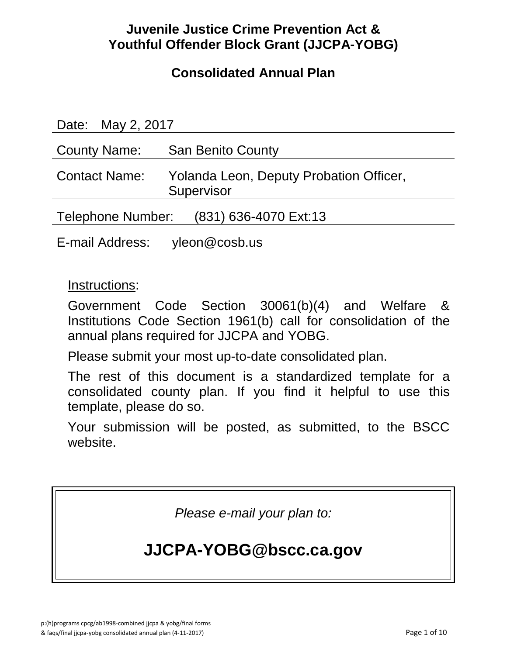# **Juvenile Justice Crime Prevention Act & Youthful Offender Block Grant (JJCPA-YOBG)**

# **Consolidated Annual Plan**

| Date: May 2, 2017                          |                                                       |
|--------------------------------------------|-------------------------------------------------------|
| <b>County Name:</b>                        | <b>San Benito County</b>                              |
| <b>Contact Name:</b>                       | Yolanda Leon, Deputy Probation Officer,<br>Supervisor |
| Telephone Number:<br>(831) 636-4070 Ext:13 |                                                       |
| E-mail Address: yleon@cosb.us              |                                                       |

### Instructions:

Government Code Section 30061(b)(4) and Welfare & Institutions Code Section 1961(b) call for consolidation of the annual plans required for JJCPA and YOBG.

Please submit your most up-to-date consolidated plan.

The rest of this document is a standardized template for a consolidated county plan. If you find it helpful to use this template, please do so.

Your submission will be posted, as submitted, to the BSCC website.

*Please e-mail your plan to:*

# **JJCPA-YOBG@bscc.ca.gov**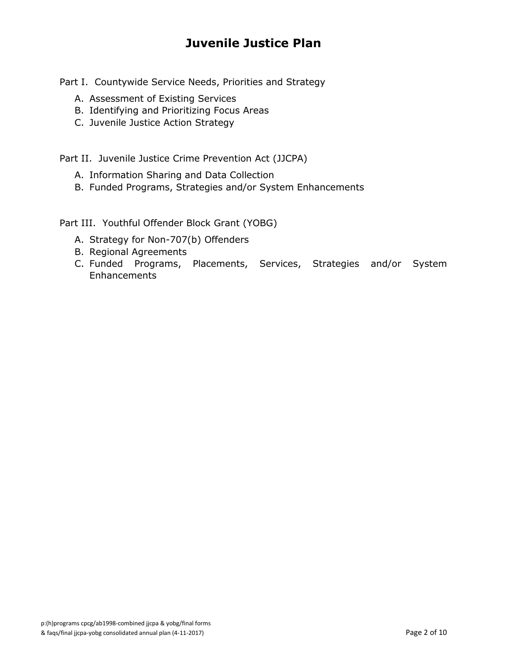# **Juvenile Justice Plan**

Part I. Countywide Service Needs, Priorities and Strategy

- A. Assessment of Existing Services
- B. Identifying and Prioritizing Focus Areas
- C. Juvenile Justice Action Strategy

Part II. Juvenile Justice Crime Prevention Act (JJCPA)

- A. Information Sharing and Data Collection
- B. Funded Programs, Strategies and/or System Enhancements

Part III. Youthful Offender Block Grant (YOBG)

- A. Strategy for Non-707(b) Offenders
- B. Regional Agreements
- C. Funded Programs, Placements, Services, Strategies and/or System Enhancements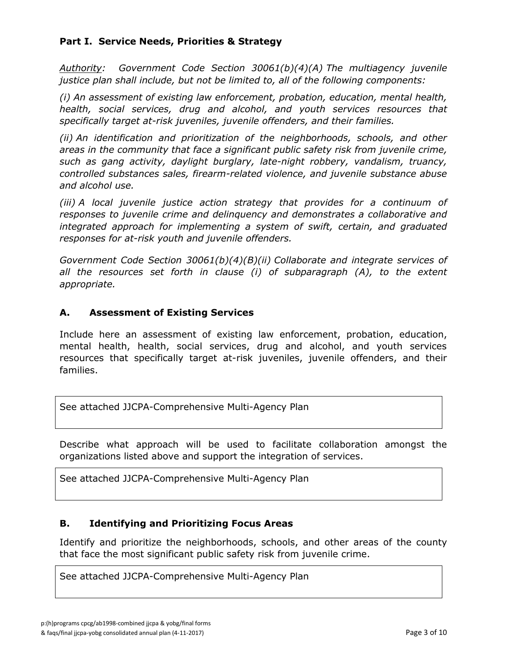#### **Part I. Service Needs, Priorities & Strategy**

*Authority: Government Code Section 30061(b)(4)(A) The multiagency juvenile justice plan shall include, but not be limited to, all of the following components:*

*(i) An assessment of existing law enforcement, probation, education, mental health, health, social services, drug and alcohol, and youth services resources that specifically target at-risk juveniles, juvenile offenders, and their families.*

*(ii) An identification and prioritization of the neighborhoods, schools, and other areas in the community that face a significant public safety risk from juvenile crime, such as gang activity, daylight burglary, late-night robbery, vandalism, truancy, controlled substances sales, firearm-related violence, and juvenile substance abuse and alcohol use.*

*(iii) A local juvenile justice action strategy that provides for a continuum of responses to juvenile crime and delinquency and demonstrates a collaborative and integrated approach for implementing a system of swift, certain, and graduated responses for at-risk youth and juvenile offenders.*

*Government Code Section 30061(b)(4)(B)(ii) Collaborate and integrate services of*  all the resources set forth in clause (i) of subparagraph (A), to the extent *appropriate.*

#### **A. Assessment of Existing Services**

Include here an assessment of existing law enforcement, probation, education, mental health, health, social services, drug and alcohol, and youth services resources that specifically target at-risk juveniles, juvenile offenders, and their families.

See attached JJCPA-Comprehensive Multi-Agency Plan

Describe what approach will be used to facilitate collaboration amongst the organizations listed above and support the integration of services.

See attached JJCPA-Comprehensive Multi-Agency Plan

#### **B. Identifying and Prioritizing Focus Areas**

Identify and prioritize the neighborhoods, schools, and other areas of the county that face the most significant public safety risk from juvenile crime.

See attached JJCPA-Comprehensive Multi-Agency Plan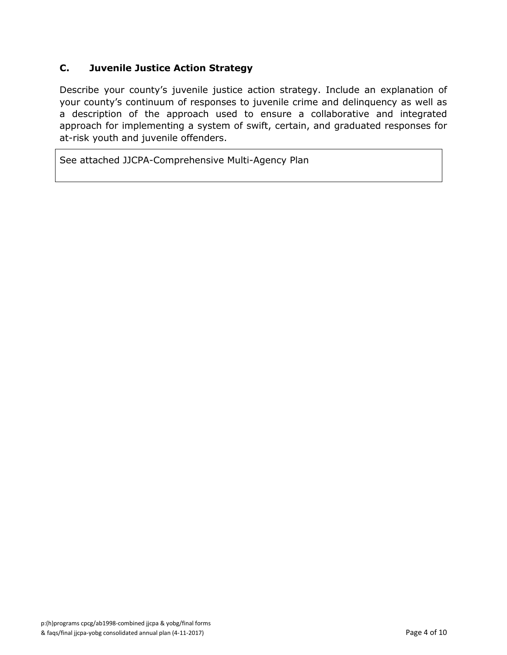#### **C. Juvenile Justice Action Strategy**

Describe your county's juvenile justice action strategy. Include an explanation of your county's continuum of responses to juvenile crime and delinquency as well as a description of the approach used to ensure a collaborative and integrated approach for implementing a system of swift, certain, and graduated responses for at-risk youth and juvenile offenders.

See attached JJCPA-Comprehensive Multi-Agency Plan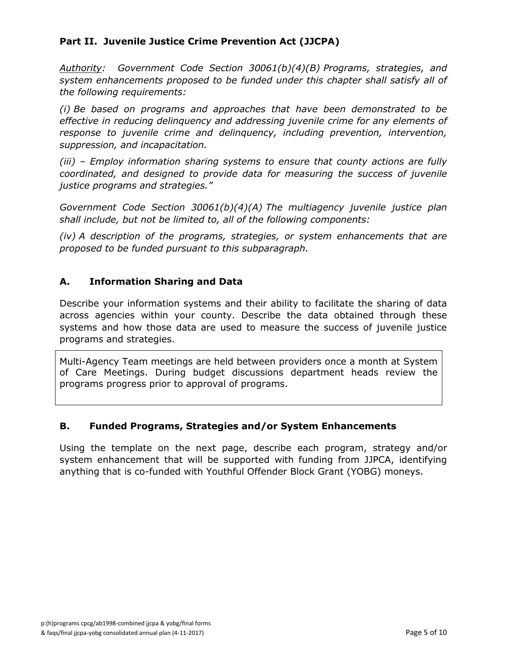#### **Part II. Juvenile Justice Crime Prevention Act (JJCPA)**

*Authority: Government Code Section 30061(b)(4)(B) Programs, strategies, and system enhancements proposed to be funded under this chapter shall satisfy all of the following requirements:*

*(i) Be based on programs and approaches that have been demonstrated to be effective in reducing delinquency and addressing juvenile crime for any elements of response to juvenile crime and delinquency, including prevention, intervention, suppression, and incapacitation.*

*(iii) – Employ information sharing systems to ensure that county actions are fully coordinated, and designed to provide data for measuring the success of juvenile justice programs and strategies."*

*Government Code Section 30061(b)(4)(A) The multiagency juvenile justice plan shall include, but not be limited to, all of the following components:*

*(iv) A description of the programs, strategies, or system enhancements that are proposed to be funded pursuant to this subparagraph.*

#### **A. Information Sharing and Data**

Describe your information systems and their ability to facilitate the sharing of data across agencies within your county. Describe the data obtained through these systems and how those data are used to measure the success of juvenile justice programs and strategies.

Multi-Agency Team meetings are held between providers once a month at System of Care Meetings. During budget discussions department heads review the programs progress prior to approval of programs.

#### **B. Funded Programs, Strategies and/or System Enhancements**

Using the template on the next page, describe each program, strategy and/or system enhancement that will be supported with funding from JJPCA, identifying anything that is co-funded with Youthful Offender Block Grant (YOBG) moneys.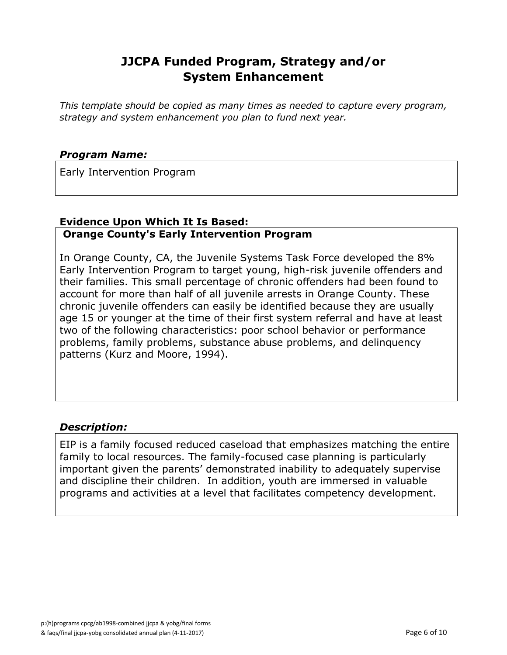### **JJCPA Funded Program, Strategy and/or System Enhancement**

*This template should be copied as many times as needed to capture every program, strategy and system enhancement you plan to fund next year.*

#### *Program Name:*

Early Intervention Program

#### **Evidence Upon Which It Is Based: Orange County's Early Intervention Program**

In Orange County, CA, the Juvenile Systems Task Force developed the 8% Early Intervention Program to target young, high-risk juvenile offenders and their families. This small percentage of chronic offenders had been found to account for more than half of all juvenile arrests in Orange County. These chronic juvenile offenders can easily be identified because they are usually age 15 or younger at the time of their first system referral and have at least two of the following characteristics: poor school behavior or performance problems, family problems, substance abuse problems, and delinquency patterns (Kurz and Moore, 1994).

#### *Description:*

EIP is a family focused reduced caseload that emphasizes matching the entire family to local resources. The family-focused case planning is particularly important given the parents' demonstrated inability to adequately supervise and discipline their children. In addition, youth are immersed in valuable programs and activities at a level that facilitates competency development.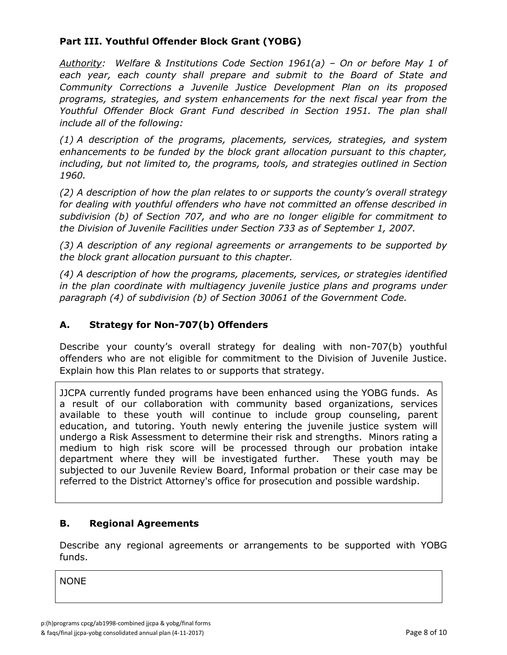#### **Part III. Youthful Offender Block Grant (YOBG)**

*Authority: Welfare & Institutions Code Section 1961(a) – On or before May 1 of each year, each county shall prepare and submit to the Board of State and Community Corrections a Juvenile Justice Development Plan on its proposed programs, strategies, and system enhancements for the next fiscal year from the Youthful Offender Block Grant Fund described in Section 1951. The plan shall include all of the following:*

*(1) A description of the programs, placements, services, strategies, and system enhancements to be funded by the block grant allocation pursuant to this chapter, including, but not limited to, the programs, tools, and strategies outlined in Section 1960.*

*(2) A description of how the plan relates to or supports the county's overall strategy for dealing with youthful offenders who have not committed an offense described in subdivision (b) of Section 707, and who are no longer eligible for commitment to the Division of Juvenile Facilities under Section 733 as of September 1, 2007.*

*(3) A description of any regional agreements or arrangements to be supported by the block grant allocation pursuant to this chapter.*

*(4) A description of how the programs, placements, services, or strategies identified in the plan coordinate with multiagency juvenile justice plans and programs under paragraph (4) of subdivision (b) of Section 30061 of the Government Code.*

#### **A. Strategy for Non-707(b) Offenders**

Describe your county's overall strategy for dealing with non-707(b) youthful offenders who are not eligible for commitment to the Division of Juvenile Justice. Explain how this Plan relates to or supports that strategy.

JJCPA currently funded programs have been enhanced using the YOBG funds. As a result of our collaboration with community based organizations, services available to these youth will continue to include group counseling, parent education, and tutoring. Youth newly entering the juvenile justice system will undergo a Risk Assessment to determine their risk and strengths. Minors rating a medium to high risk score will be processed through our probation intake department where they will be investigated further. These youth may be subjected to our Juvenile Review Board, Informal probation or their case may be referred to the District Attorney's office for prosecution and possible wardship.

#### **B. Regional Agreements**

Describe any regional agreements or arrangements to be supported with YOBG funds.

NONE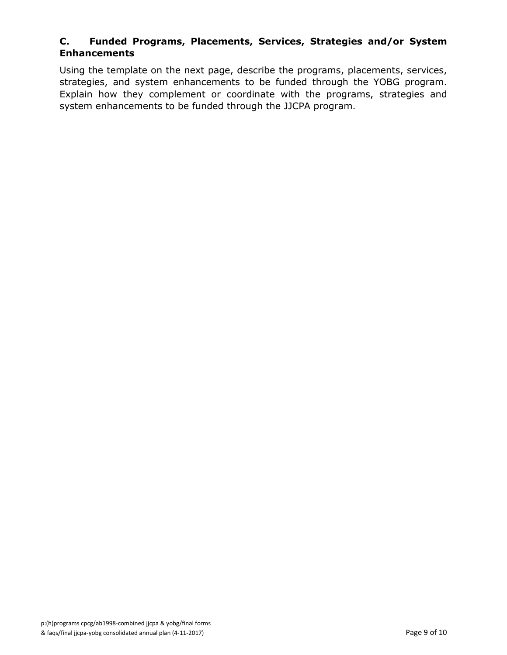#### **C. Funded Programs, Placements, Services, Strategies and/or System Enhancements**

Using the template on the next page, describe the programs, placements, services, strategies, and system enhancements to be funded through the YOBG program. Explain how they complement or coordinate with the programs, strategies and system enhancements to be funded through the JJCPA program.